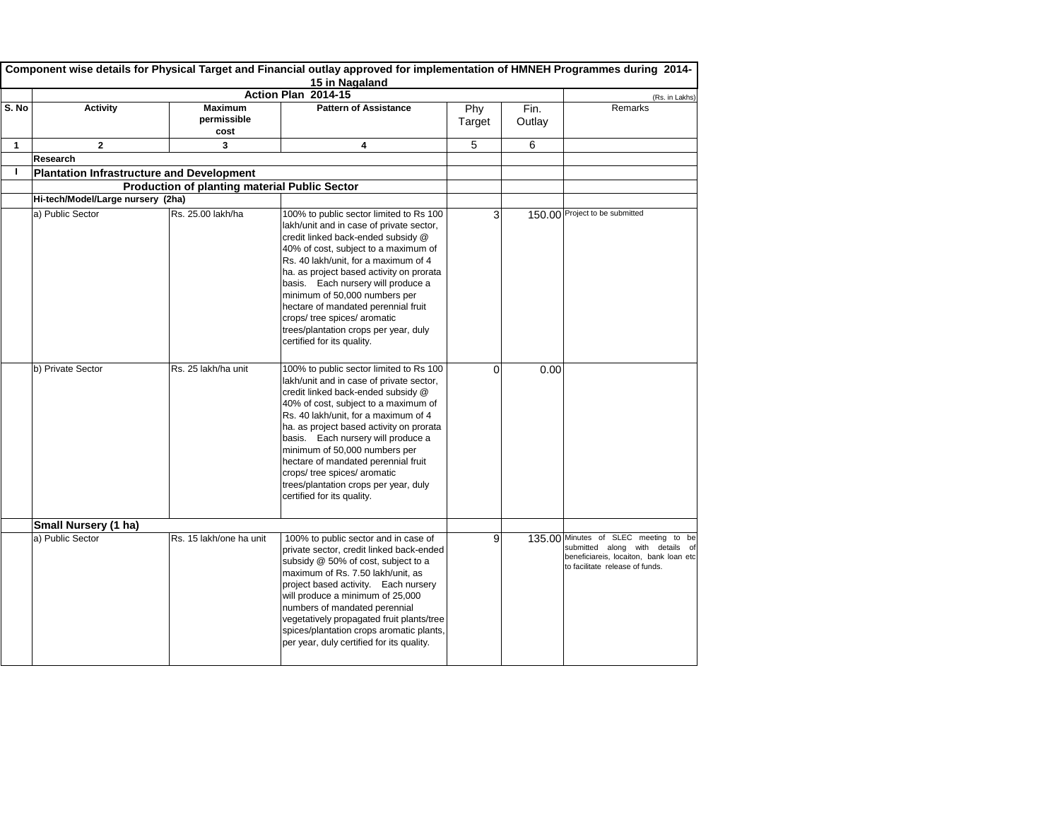|       | Component wise details for Physical Target and Financial outlay approved for implementation of HMNEH Programmes during 2014-<br>15 in Nagaland |                                                      |                                                                                                                                                                                                                                                                                                                                                                                                                                                                            |                |                |                                                                                                                                                      |  |
|-------|------------------------------------------------------------------------------------------------------------------------------------------------|------------------------------------------------------|----------------------------------------------------------------------------------------------------------------------------------------------------------------------------------------------------------------------------------------------------------------------------------------------------------------------------------------------------------------------------------------------------------------------------------------------------------------------------|----------------|----------------|------------------------------------------------------------------------------------------------------------------------------------------------------|--|
|       |                                                                                                                                                |                                                      | Action Plan 2014-15                                                                                                                                                                                                                                                                                                                                                                                                                                                        |                |                | (Rs. in Lakhs)                                                                                                                                       |  |
| S. No | <b>Activity</b>                                                                                                                                | <b>Maximum</b><br>permissible<br>cost                | <b>Pattern of Assistance</b>                                                                                                                                                                                                                                                                                                                                                                                                                                               | Phy<br>Target  | Fin.<br>Outlay | Remarks                                                                                                                                              |  |
| 1     | $\mathbf{2}$                                                                                                                                   | 3                                                    | 4                                                                                                                                                                                                                                                                                                                                                                                                                                                                          | 5              | 6              |                                                                                                                                                      |  |
|       | <b>Research</b>                                                                                                                                |                                                      |                                                                                                                                                                                                                                                                                                                                                                                                                                                                            |                |                |                                                                                                                                                      |  |
|       | <b>Plantation Infrastructure and Development</b>                                                                                               |                                                      |                                                                                                                                                                                                                                                                                                                                                                                                                                                                            |                |                |                                                                                                                                                      |  |
|       |                                                                                                                                                | <b>Production of planting material Public Sector</b> |                                                                                                                                                                                                                                                                                                                                                                                                                                                                            |                |                |                                                                                                                                                      |  |
|       | Hi-tech/Model/Large nursery (2ha)                                                                                                              |                                                      |                                                                                                                                                                                                                                                                                                                                                                                                                                                                            |                |                |                                                                                                                                                      |  |
|       | a) Public Sector                                                                                                                               | Rs. 25.00 lakh/ha                                    | 100% to public sector limited to Rs 100<br>lakh/unit and in case of private sector,<br>credit linked back-ended subsidy @<br>40% of cost, subject to a maximum of<br>Rs. 40 lakh/unit, for a maximum of 4<br>ha. as project based activity on prorata<br>basis. Each nursery will produce a<br>minimum of 50,000 numbers per<br>hectare of mandated perennial fruit<br>crops/ tree spices/ aromatic<br>trees/plantation crops per year, duly<br>certified for its quality. | 3              |                | 150.00 Project to be submitted                                                                                                                       |  |
|       | b) Private Sector                                                                                                                              | Rs. 25 lakh/ha unit                                  | 100% to public sector limited to Rs 100<br>lakh/unit and in case of private sector,<br>credit linked back-ended subsidy @<br>40% of cost, subject to a maximum of<br>Rs. 40 lakh/unit, for a maximum of 4<br>ha. as project based activity on prorata<br>basis. Each nursery will produce a<br>minimum of 50,000 numbers per<br>hectare of mandated perennial fruit<br>crops/ tree spices/ aromatic<br>trees/plantation crops per year, duly<br>certified for its quality. | $\overline{0}$ | 0.00           |                                                                                                                                                      |  |
|       | <b>Small Nursery (1 ha)</b>                                                                                                                    |                                                      |                                                                                                                                                                                                                                                                                                                                                                                                                                                                            |                |                |                                                                                                                                                      |  |
|       | a) Public Sector                                                                                                                               | Rs. 15 lakh/one ha unit                              | 100% to public sector and in case of<br>private sector, credit linked back-ended<br>subsidy @ 50% of cost, subject to a<br>maximum of Rs. 7.50 lakh/unit, as<br>project based activity. Each nursery<br>will produce a minimum of 25,000<br>numbers of mandated perennial<br>vegetatively propagated fruit plants/tree<br>spices/plantation crops aromatic plants,<br>per year, duly certified for its quality.                                                            | 9              |                | 135.00 Minutes of SLEC meeting to be<br>submitted along with details of<br>beneficiareis, locaiton, bank loan etc<br>to facilitate release of funds. |  |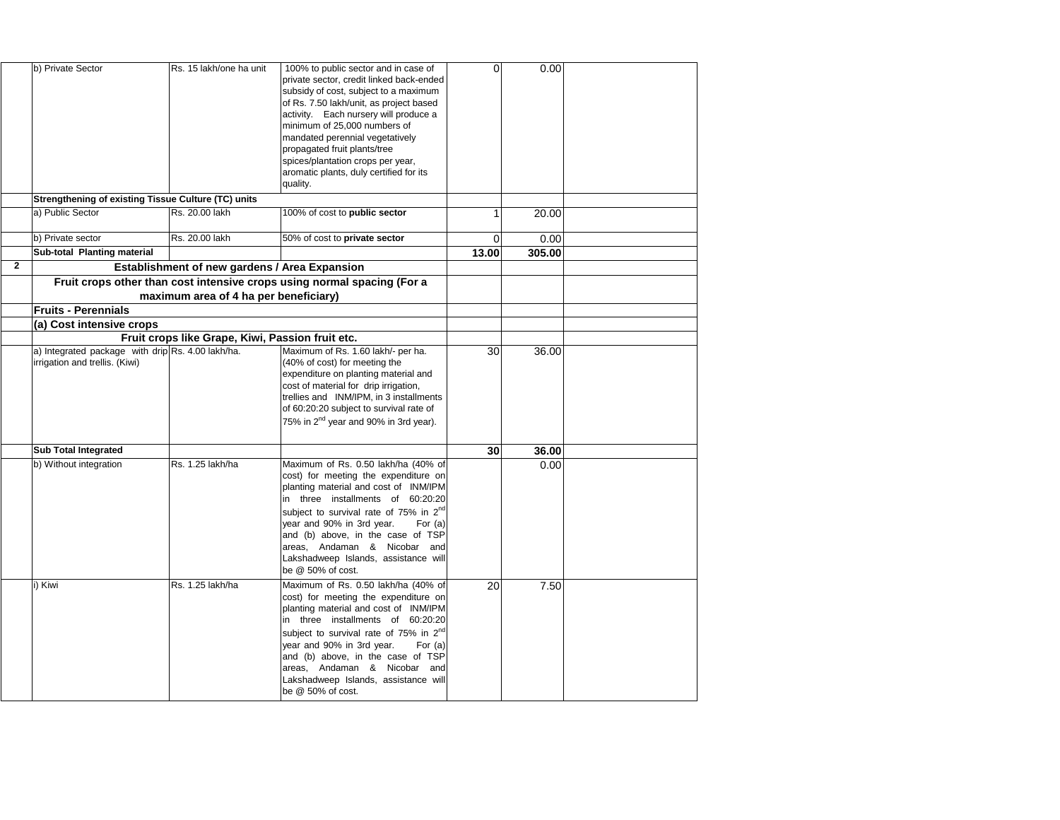|                | b) Private Sector                                                                                    | Rs. 15 lakh/one ha unit                              | 100% to public sector and in case of<br>private sector, credit linked back-ended<br>subsidy of cost, subject to a maximum<br>of Rs. 7.50 lakh/unit, as project based<br>activity. Each nursery will produce a<br>minimum of 25,000 numbers of<br>mandated perennial vegetatively<br>propagated fruit plants/tree<br>spices/plantation crops per year,<br>aromatic plants, duly certified for its<br>quality. | O.    | 0.00   |  |
|----------------|------------------------------------------------------------------------------------------------------|------------------------------------------------------|--------------------------------------------------------------------------------------------------------------------------------------------------------------------------------------------------------------------------------------------------------------------------------------------------------------------------------------------------------------------------------------------------------------|-------|--------|--|
|                | <b>Strengthening of existing Tissue Culture (TC) units</b>                                           |                                                      |                                                                                                                                                                                                                                                                                                                                                                                                              |       |        |  |
|                | a) Public Sector                                                                                     | Rs. 20.00 lakh                                       | 100% of cost to public sector                                                                                                                                                                                                                                                                                                                                                                                |       | 20.00  |  |
|                | b) Private sector                                                                                    | Rs. 20.00 lakh                                       | 50% of cost to private sector                                                                                                                                                                                                                                                                                                                                                                                | 0     | 0.00   |  |
|                | <b>Sub-total Planting material</b>                                                                   |                                                      |                                                                                                                                                                                                                                                                                                                                                                                                              | 13.00 | 305.00 |  |
| $\overline{2}$ |                                                                                                      | <b>Establishment of new gardens / Area Expansion</b> |                                                                                                                                                                                                                                                                                                                                                                                                              |       |        |  |
|                |                                                                                                      |                                                      | Fruit crops other than cost intensive crops using normal spacing (For a                                                                                                                                                                                                                                                                                                                                      |       |        |  |
|                |                                                                                                      | maximum area of 4 ha per beneficiary)                |                                                                                                                                                                                                                                                                                                                                                                                                              |       |        |  |
|                | <b>Fruits - Perennials</b>                                                                           |                                                      |                                                                                                                                                                                                                                                                                                                                                                                                              |       |        |  |
|                | (a) Cost intensive crops                                                                             |                                                      |                                                                                                                                                                                                                                                                                                                                                                                                              |       |        |  |
|                |                                                                                                      | Fruit crops like Grape, Kiwi, Passion fruit etc.     |                                                                                                                                                                                                                                                                                                                                                                                                              |       |        |  |
|                | a) Integrated package with drip $\operatorname{Rs.}$ 4.00 lakh/ha.<br>irrigation and trellis. (Kiwi) |                                                      | Maximum of Rs. 1.60 lakh/- per ha.<br>(40% of cost) for meeting the<br>expenditure on planting material and<br>cost of material for drip irrigation,<br>trellies and INM/IPM, in 3 installments<br>of 60:20:20 subject to survival rate of<br>75% in $2^{nd}$ year and 90% in 3rd year).                                                                                                                     | 30    | 36.00  |  |
|                | <b>Sub Total Integrated</b>                                                                          |                                                      |                                                                                                                                                                                                                                                                                                                                                                                                              | 30    | 36.00  |  |
|                | b) Without integration                                                                               | Rs. 1.25 lakh/ha                                     | Maximum of Rs. 0.50 lakh/ha (40% of<br>cost) for meeting the expenditure on<br>planting material and cost of INM/IPM<br>in three installments of 60:20:20<br>subject to survival rate of 75% in 2 <sup>nd</sup><br>year and 90% in 3rd year.<br>For $(a)$<br>and (b) above, in the case of TSP<br>areas, Andaman & Nicobar and<br>Lakshadweep Islands, assistance will<br>be $@$ 50% of cost.                |       | 0.00   |  |
|                | i) Kiwi                                                                                              | Rs. 1.25 lakh/ha                                     | Maximum of Rs. 0.50 lakh/ha (40% of<br>cost) for meeting the expenditure on<br>planting material and cost of INM/IPM<br>in three installments of 60:20:20<br>subject to survival rate of 75% in 2 <sup>nd</sup><br>year and 90% in 3rd year.<br>For $(a)$<br>and (b) above, in the case of TSP<br>areas, Andaman & Nicobar and<br>Lakshadweep Islands, assistance will<br>be $@$ 50% of cost.                | 20    | 7.50   |  |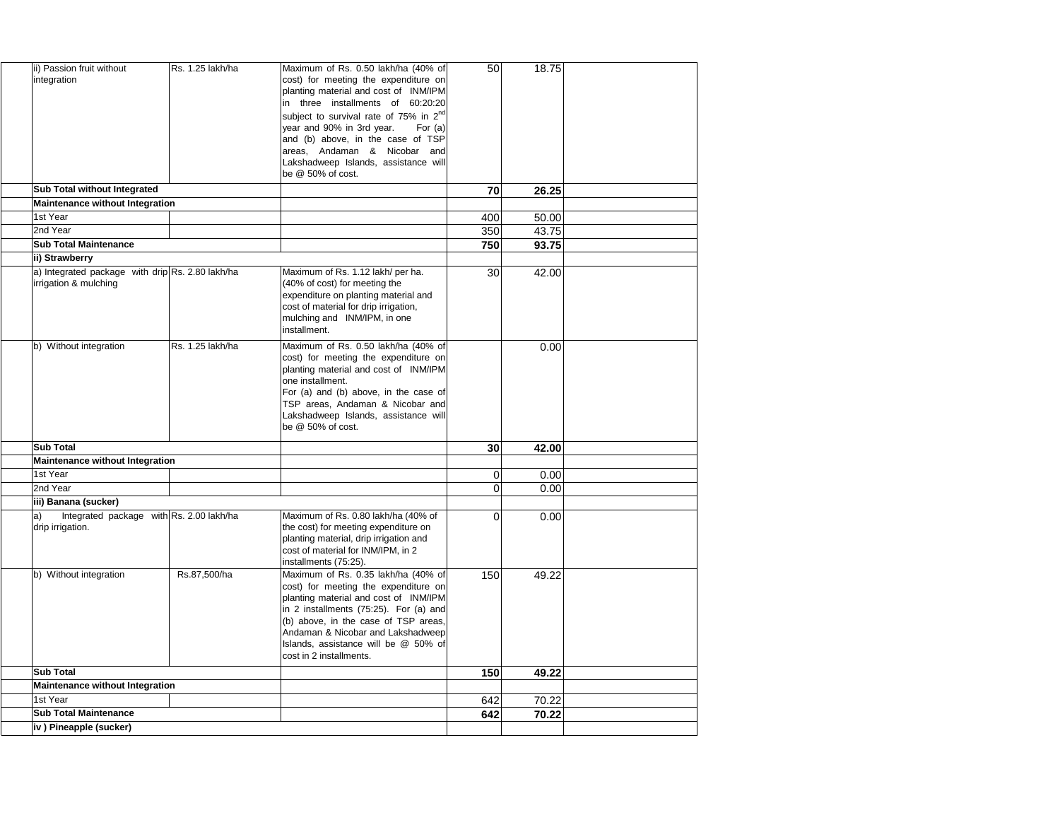| ii) Passion fruit without<br>integration                                  | Rs. 1.25 lakh/ha | Maximum of Rs. 0.50 lakh/ha (40% of<br>cost) for meeting the expenditure on<br>planting material and cost of INM/IPM<br>in three installments of 60:20:20<br>subject to survival rate of 75% in 2 <sup>nd</sup><br>year and 90% in 3rd year.<br>For $(a)$<br>and (b) above, in the case of TSP<br>areas, Andaman & Nicobar and<br>Lakshadweep Islands, assistance will | 50              | 18.75 |  |
|---------------------------------------------------------------------------|------------------|------------------------------------------------------------------------------------------------------------------------------------------------------------------------------------------------------------------------------------------------------------------------------------------------------------------------------------------------------------------------|-----------------|-------|--|
|                                                                           |                  | be $@$ 50% of cost.                                                                                                                                                                                                                                                                                                                                                    |                 |       |  |
| <b>Sub Total without Integrated</b>                                       |                  |                                                                                                                                                                                                                                                                                                                                                                        | 70              | 26.25 |  |
| <b>Maintenance without Integration</b><br>1st Year                        |                  |                                                                                                                                                                                                                                                                                                                                                                        | 400             | 50.00 |  |
| 2nd Year                                                                  |                  |                                                                                                                                                                                                                                                                                                                                                                        | 350             | 43.75 |  |
| <b>Sub Total Maintenance</b>                                              |                  |                                                                                                                                                                                                                                                                                                                                                                        | 750             | 93.75 |  |
| ii) Strawberry                                                            |                  |                                                                                                                                                                                                                                                                                                                                                                        |                 |       |  |
| a) Integrated package with drip Rs. 2.80 lakh/ha<br>irrigation & mulching |                  | Maximum of Rs. 1.12 lakh/ per ha.<br>(40% of cost) for meeting the<br>expenditure on planting material and<br>cost of material for drip irrigation,<br>mulching and INM/IPM, in one<br>installment.                                                                                                                                                                    | 30 <sub>l</sub> | 42.00 |  |
| b) Without integration                                                    | Rs. 1.25 lakh/ha | Maximum of Rs. 0.50 lakh/ha (40% of<br>cost) for meeting the expenditure on<br>planting material and cost of INM/IPM<br>one installment.<br>For (a) and (b) above, in the case of<br>TSP areas, Andaman & Nicobar and<br>Lakshadweep Islands, assistance will<br>be @ 50% of cost.                                                                                     |                 | 0.00  |  |
| <b>Sub Total</b>                                                          |                  |                                                                                                                                                                                                                                                                                                                                                                        | 30              | 42.00 |  |
| <b>Maintenance without Integration</b>                                    |                  |                                                                                                                                                                                                                                                                                                                                                                        |                 |       |  |
| 1st Year                                                                  |                  |                                                                                                                                                                                                                                                                                                                                                                        | 0               | 0.00  |  |
| 2nd Year                                                                  |                  |                                                                                                                                                                                                                                                                                                                                                                        | 0               | 0.00  |  |
| iii) Banana (sucker)                                                      |                  |                                                                                                                                                                                                                                                                                                                                                                        |                 |       |  |
| Integrated package with Rs. 2.00 lakh/ha<br>la)<br>drip irrigation.       |                  | Maximum of Rs. 0.80 lakh/ha (40% of<br>the cost) for meeting expenditure on<br>planting material, drip irrigation and<br>cost of material for INM/IPM, in 2<br>installments (75:25).                                                                                                                                                                                   | $\Omega$        | 0.00  |  |
| Without integration<br>b)                                                 | Rs.87,500/ha     | Maximum of Rs. 0.35 lakh/ha (40% of<br>cost) for meeting the expenditure on<br>planting material and cost of INM/IPM<br>in 2 installments (75:25). For (a) and<br>(b) above, in the case of TSP areas,<br>Andaman & Nicobar and Lakshadweep<br>Islands, assistance will be @ 50% of<br>cost in 2 installments.                                                         | 150             | 49.22 |  |
| <b>Sub Total</b>                                                          |                  |                                                                                                                                                                                                                                                                                                                                                                        | 150             | 49.22 |  |
| <b>Maintenance without Integration</b>                                    |                  |                                                                                                                                                                                                                                                                                                                                                                        |                 |       |  |
| 1st Year                                                                  |                  |                                                                                                                                                                                                                                                                                                                                                                        | 642             | 70.22 |  |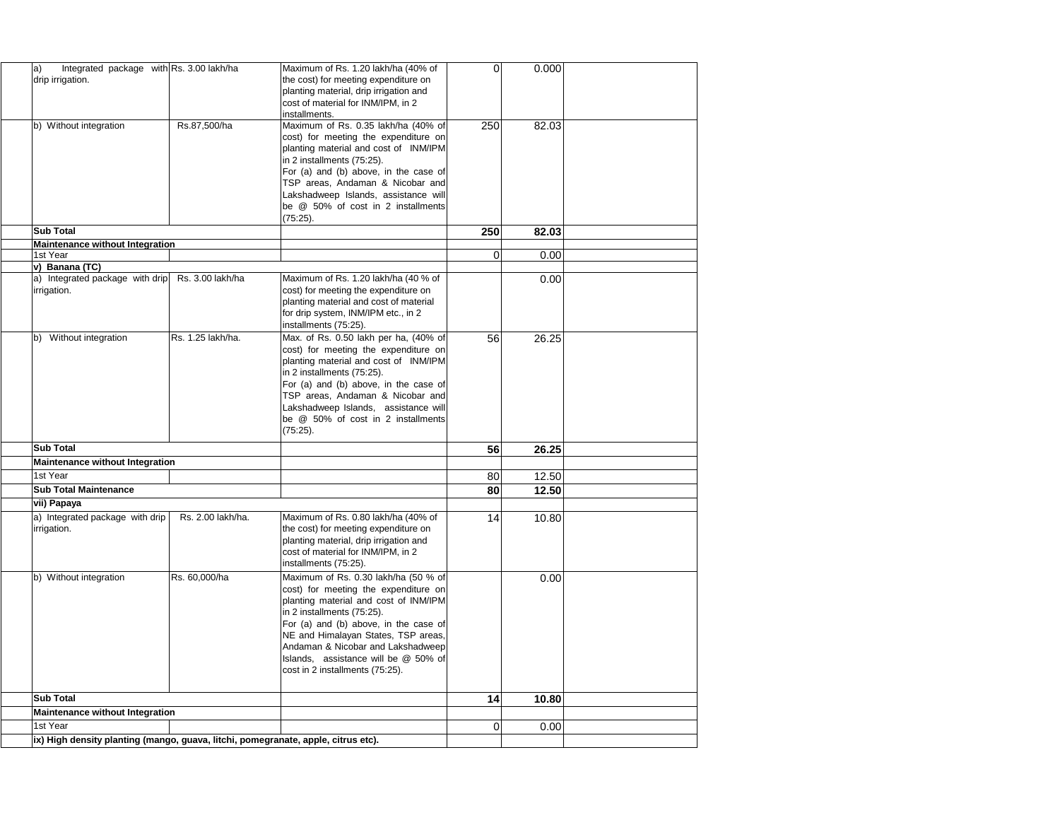| Integrated package with Rs. 3.00 lakh/ha<br>$ a\rangle$<br>drip irrigation. |                   | Maximum of Rs. 1.20 lakh/ha (40% of<br>the cost) for meeting expenditure on<br>planting material, drip irrigation and<br>cost of material for INM/IPM, in 2<br>linstallments.                                                                                                                                                                       | 0   | 0.000 |  |
|-----------------------------------------------------------------------------|-------------------|-----------------------------------------------------------------------------------------------------------------------------------------------------------------------------------------------------------------------------------------------------------------------------------------------------------------------------------------------------|-----|-------|--|
| b) Without integration                                                      | Rs.87,500/ha      | Maximum of Rs. 0.35 lakh/ha (40% of<br>cost) for meeting the expenditure on<br>planting material and cost of INM/IPM<br>in 2 installments (75:25).<br>For (a) and (b) above, in the case of<br>TSP areas, Andaman & Nicobar and<br>Lakshadweep Islands, assistance will<br>be @ 50% of cost in 2 installments<br>(75:25).                           | 250 | 82.03 |  |
| <b>Sub Total</b>                                                            |                   |                                                                                                                                                                                                                                                                                                                                                     | 250 | 82.03 |  |
| <b>Maintenance without Integration</b><br>1st Year                          |                   |                                                                                                                                                                                                                                                                                                                                                     |     |       |  |
| v) Banana (TC)                                                              |                   |                                                                                                                                                                                                                                                                                                                                                     | 0   | 0.00  |  |
| a) Integrated package with drip<br>irrigation.                              | Rs. 3.00 lakh/ha  | Maximum of Rs. 1.20 lakh/ha (40 % of<br>cost) for meeting the expenditure on<br>planting material and cost of material<br>for drip system, INM/IPM etc., in 2<br>installments (75:25).                                                                                                                                                              |     | 0.00  |  |
| Without integration<br>b)                                                   | Rs. 1.25 lakh/ha. | Max. of Rs. 0.50 lakh per ha, (40% of<br>cost) for meeting the expenditure on<br>planting material and cost of INM/IPM<br>in 2 installments (75:25).<br>For (a) and (b) above, in the case of<br>TSP areas, Andaman & Nicobar and<br>Lakshadweep Islands, assistance will<br>be @ 50% of cost in 2 installments<br>(75:25).                         | 56  | 26.25 |  |
| <b>Sub Total</b>                                                            |                   |                                                                                                                                                                                                                                                                                                                                                     | 56  | 26.25 |  |
| <b>Maintenance without Integration</b>                                      |                   |                                                                                                                                                                                                                                                                                                                                                     |     |       |  |
| 1st Year                                                                    |                   |                                                                                                                                                                                                                                                                                                                                                     | 80  | 12.50 |  |
| <b>Sub Total Maintenance</b>                                                |                   |                                                                                                                                                                                                                                                                                                                                                     | 80  | 12.50 |  |
| vii) Papaya                                                                 |                   |                                                                                                                                                                                                                                                                                                                                                     |     |       |  |
| a) Integrated package with drip<br>irrigation.                              | Rs. 2.00 lakh/ha. | Maximum of Rs. 0.80 lakh/ha (40% of<br>the cost) for meeting expenditure on<br>planting material, drip irrigation and<br>cost of material for INM/IPM, in 2<br>installments (75:25).                                                                                                                                                                | 14  | 10.80 |  |
| b) Without integration                                                      | Rs. 60,000/ha     | Maximum of Rs. 0.30 lakh/ha (50 % of<br>cost) for meeting the expenditure on<br>planting material and cost of INM/IPM<br>in 2 installments (75:25).<br>For (a) and (b) above, in the case of<br>NE and Himalayan States, TSP areas,<br>Andaman & Nicobar and Lakshadweep<br>Islands, assistance will be @ 50% of<br>cost in 2 installments (75:25). |     | 0.00  |  |
| <b>Sub Total</b>                                                            |                   |                                                                                                                                                                                                                                                                                                                                                     | 14  | 10.80 |  |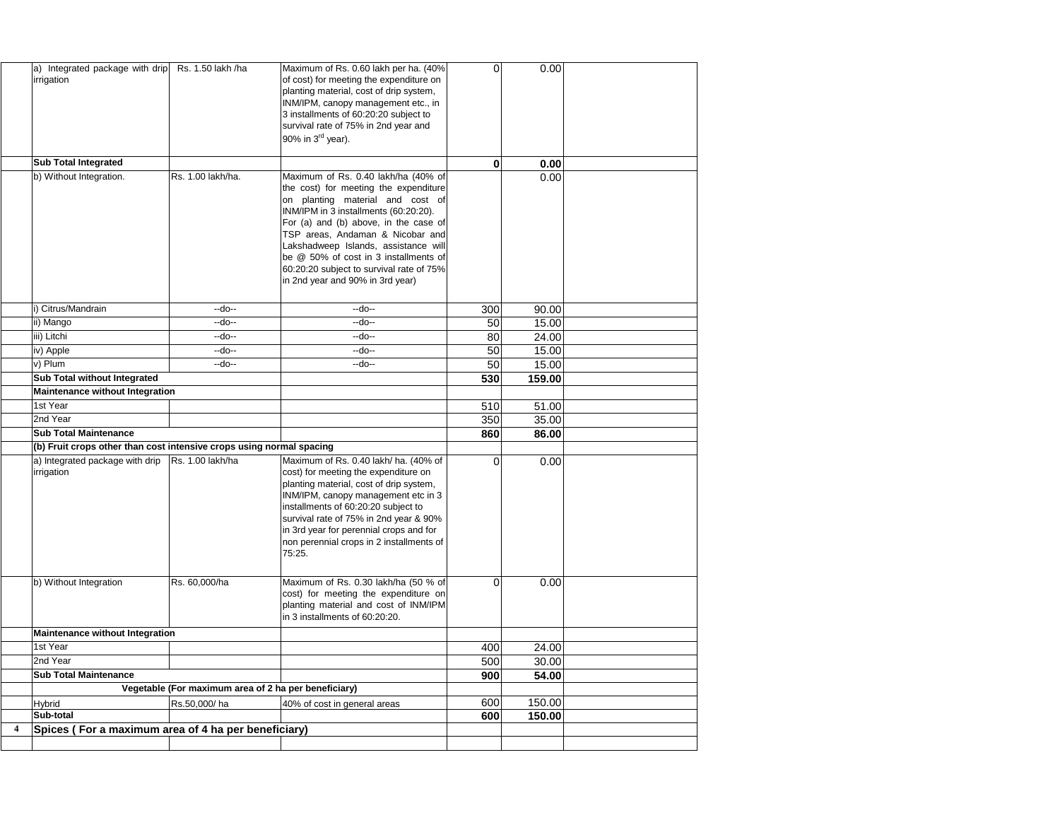| Integrated package with drip<br>$ a\rangle$<br>irrigation            | Rs. 1.50 lakh /ha                                    | Maximum of Rs. 0.60 lakh per ha. (40%)<br>of cost) for meeting the expenditure on<br>planting material, cost of drip system,<br>INM/IPM, canopy management etc., in<br>3 installments of 60:20:20 subject to<br>survival rate of 75% in 2nd year and<br>90% in $3^{\text{rd}}$ year).                                                                                                                   | $\Omega$ | 0.00   |  |
|----------------------------------------------------------------------|------------------------------------------------------|---------------------------------------------------------------------------------------------------------------------------------------------------------------------------------------------------------------------------------------------------------------------------------------------------------------------------------------------------------------------------------------------------------|----------|--------|--|
| <b>Sub Total Integrated</b>                                          |                                                      |                                                                                                                                                                                                                                                                                                                                                                                                         | $\bf{0}$ | 0.00   |  |
| b) Without Integration.                                              | Rs. 1.00 lakh/ha.                                    | Maximum of Rs. 0.40 lakh/ha (40% of<br>the cost) for meeting the expenditure<br>on planting material and cost of<br>INM/IPM in 3 installments (60:20:20).<br>For (a) and (b) above, in the case of<br>TSP areas, Andaman & Nicobar and<br>Lakshadweep Islands, assistance will<br>be @ 50% of cost in 3 installments of<br>60:20:20 subject to survival rate of 75%<br>in 2nd year and 90% in 3rd year) |          | 0.00   |  |
| i) Citrus/Mandrain                                                   | $-do-$                                               | $-do-$                                                                                                                                                                                                                                                                                                                                                                                                  | 300      | 90.00  |  |
| ii) Mango                                                            | $-do-$                                               | $-do-$                                                                                                                                                                                                                                                                                                                                                                                                  | 50       | 15.00  |  |
| iii) Litchi                                                          | $-do-$                                               | $-do-$                                                                                                                                                                                                                                                                                                                                                                                                  | 80       | 24.00  |  |
| iv) Apple                                                            | $-do-$                                               | $-do-$                                                                                                                                                                                                                                                                                                                                                                                                  | 50       | 15.00  |  |
| v) Plum                                                              | $-do-$                                               | $-do-$                                                                                                                                                                                                                                                                                                                                                                                                  | 50       | 15.00  |  |
| <b>Sub Total without Integrated</b>                                  |                                                      |                                                                                                                                                                                                                                                                                                                                                                                                         | 530      | 159.00 |  |
| <b>Maintenance without Integration</b>                               |                                                      |                                                                                                                                                                                                                                                                                                                                                                                                         |          |        |  |
| 1st Year                                                             |                                                      |                                                                                                                                                                                                                                                                                                                                                                                                         | 510      | 51.00  |  |
| 2nd Year                                                             |                                                      |                                                                                                                                                                                                                                                                                                                                                                                                         | 350      | 35.00  |  |
| <b>Sub Total Maintenance</b>                                         |                                                      |                                                                                                                                                                                                                                                                                                                                                                                                         | 860      | 86.00  |  |
| (b) Fruit crops other than cost intensive crops using normal spacing |                                                      |                                                                                                                                                                                                                                                                                                                                                                                                         |          |        |  |
| a) Integrated package with drip<br>irrigation                        | Rs. 1.00 lakh/ha                                     | Maximum of Rs. 0.40 lakh/ ha. (40% of<br>cost) for meeting the expenditure on<br>planting material, cost of drip system,<br>INM/IPM, canopy management etc in 3<br>installments of 60:20:20 subject to<br>survival rate of 75% in 2nd year & 90%<br>in 3rd year for perennial crops and for<br>non perennial crops in 2 installments of<br>75:25.                                                       | $\Omega$ | 0.00   |  |
| b) Without Integration                                               | Rs. 60,000/ha                                        | Maximum of Rs. 0.30 lakh/ha (50 % of<br>cost) for meeting the expenditure on<br>planting material and cost of INM/IPM<br>in 3 installments of 60:20:20.                                                                                                                                                                                                                                                 | $\Omega$ | 0.00   |  |
| <b>Maintenance without Integration</b>                               |                                                      |                                                                                                                                                                                                                                                                                                                                                                                                         |          |        |  |
| 1st Year                                                             |                                                      |                                                                                                                                                                                                                                                                                                                                                                                                         | 400      | 24.00  |  |
| 2nd Year                                                             |                                                      |                                                                                                                                                                                                                                                                                                                                                                                                         | 500      | 30.00  |  |
| <b>Sub Total Maintenance</b>                                         |                                                      |                                                                                                                                                                                                                                                                                                                                                                                                         | 900      | 54.00  |  |
|                                                                      | Vegetable (For maximum area of 2 ha per beneficiary) |                                                                                                                                                                                                                                                                                                                                                                                                         |          |        |  |
| <b>Hybrid</b>                                                        | Rs.50,000/ha                                         | 40% of cost in general areas                                                                                                                                                                                                                                                                                                                                                                            | 600      | 150.00 |  |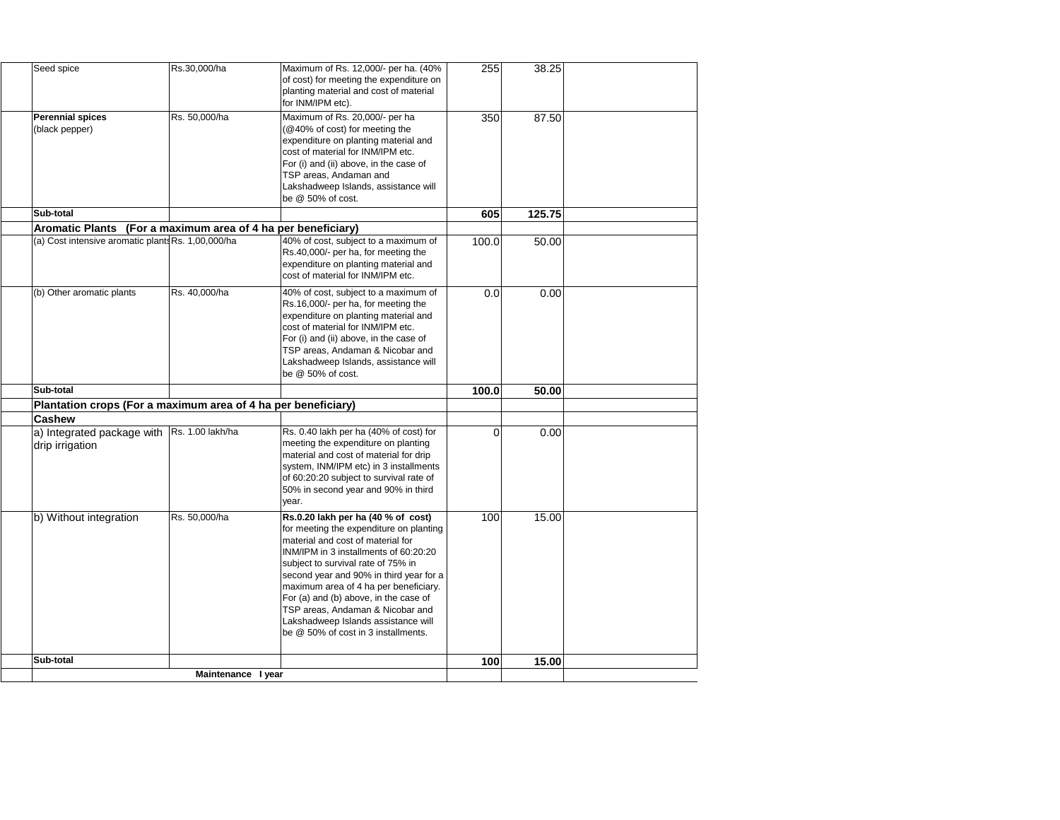| Seed spice                                                    | Rs.30,000/ha       | Maximum of Rs. 12,000/- per ha. (40%<br>of cost) for meeting the expenditure on<br>planting material and cost of material<br>for INM/IPM etc).                                                                                                                                                                                                                                                                                                    | 255      | 38.25  |  |
|---------------------------------------------------------------|--------------------|---------------------------------------------------------------------------------------------------------------------------------------------------------------------------------------------------------------------------------------------------------------------------------------------------------------------------------------------------------------------------------------------------------------------------------------------------|----------|--------|--|
| <b>Perennial spices</b><br>(black pepper)                     | Rs. 50,000/ha      | Maximum of Rs. 20,000/- per ha<br>(@40% of cost) for meeting the<br>expenditure on planting material and<br>cost of material for INM/IPM etc.<br>For (i) and (ii) above, in the case of<br>TSP areas, Andaman and<br>Lakshadweep Islands, assistance will<br>be $@$ 50% of cost.                                                                                                                                                                  | 350      | 87.50  |  |
| <b>Sub-total</b>                                              |                    |                                                                                                                                                                                                                                                                                                                                                                                                                                                   | 605      | 125.75 |  |
| Aromatic Plants (For a maximum area of 4 ha per beneficiary)  |                    |                                                                                                                                                                                                                                                                                                                                                                                                                                                   |          |        |  |
| (a) Cost intensive aromatic plants Rs. 1,00,000/ha            |                    | 40% of cost, subject to a maximum of<br>Rs.40,000/- per ha, for meeting the<br>expenditure on planting material and<br>cost of material for INM/IPM etc.                                                                                                                                                                                                                                                                                          | 100.0    | 50.00  |  |
| (b) Other aromatic plants                                     | Rs. 40,000/ha      | 40% of cost, subject to a maximum of<br>Rs.16,000/- per ha, for meeting the<br>expenditure on planting material and<br>cost of material for INM/IPM etc.<br>For (i) and (ii) above, in the case of<br>TSP areas, Andaman & Nicobar and<br>Lakshadweep Islands, assistance will<br>be $@$ 50% of cost.                                                                                                                                             | 0.0      | 0.00   |  |
| <b>Sub-total</b>                                              |                    |                                                                                                                                                                                                                                                                                                                                                                                                                                                   | 100.0    | 50.00  |  |
| Plantation crops (For a maximum area of 4 ha per beneficiary) |                    |                                                                                                                                                                                                                                                                                                                                                                                                                                                   |          |        |  |
| <b>Cashew</b>                                                 |                    |                                                                                                                                                                                                                                                                                                                                                                                                                                                   |          |        |  |
| a) Integrated package with<br>drip irrigation                 | Rs. 1.00 lakh/ha   | Rs. 0.40 lakh per ha (40% of cost) for<br>meeting the expenditure on planting<br>material and cost of material for drip<br>system, INM/IPM etc) in 3 installments<br>of 60:20:20 subject to survival rate of<br>50% in second year and 90% in third<br>year.                                                                                                                                                                                      | $\Omega$ | 0.00   |  |
| b) Without integration                                        | Rs. 50,000/ha      | Rs.0.20 lakh per ha (40 % of cost)<br>for meeting the expenditure on planting<br>material and cost of material for<br>IINM/IPM in 3 installments of 60:20:20<br>subject to survival rate of 75% in<br>second year and 90% in third year for a<br>maximum area of 4 ha per beneficiary.<br>For (a) and (b) above, in the case of<br>TSP areas, Andaman & Nicobar and<br>Lakshadweep Islands assistance will<br>be @ 50% of cost in 3 installments. | 100      | 15.00  |  |
| <b>Sub-total</b>                                              |                    |                                                                                                                                                                                                                                                                                                                                                                                                                                                   | 100      | 15.00  |  |
|                                                               | Maintenance I year |                                                                                                                                                                                                                                                                                                                                                                                                                                                   |          |        |  |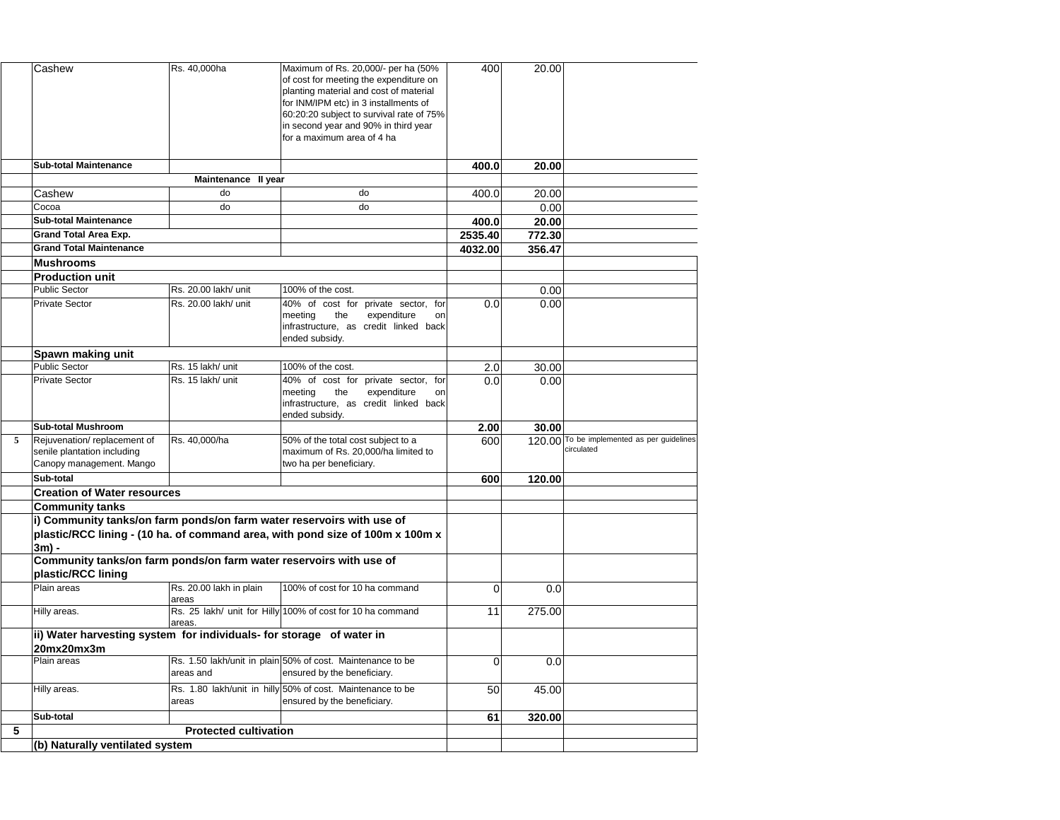|                | Cashew                                                                                   | Rs. 40,000ha                      | Maximum of Rs. 20,000/- per ha (50%<br>of cost for meeting the expenditure on<br>planting material and cost of material<br>for INM/IPM etc) in 3 installments of<br>60:20:20 subject to survival rate of 75%<br>in second year and 90% in third year<br>for a maximum area of 4 ha | 400      | 20.00  |                                                          |
|----------------|------------------------------------------------------------------------------------------|-----------------------------------|------------------------------------------------------------------------------------------------------------------------------------------------------------------------------------------------------------------------------------------------------------------------------------|----------|--------|----------------------------------------------------------|
|                | <b>Sub-total Maintenance</b>                                                             |                                   |                                                                                                                                                                                                                                                                                    | 400.0    | 20.00  |                                                          |
|                |                                                                                          | Maintenance II year               |                                                                                                                                                                                                                                                                                    |          |        |                                                          |
|                | Cashew                                                                                   | do                                | do                                                                                                                                                                                                                                                                                 | 400.0    | 20.00  |                                                          |
|                | Cocoa                                                                                    | do                                | do                                                                                                                                                                                                                                                                                 |          | 0.00   |                                                          |
|                | <b>Sub-total Maintenance</b>                                                             |                                   |                                                                                                                                                                                                                                                                                    | 400.0    | 20.00  |                                                          |
|                | <b>Grand Total Area Exp.</b>                                                             |                                   |                                                                                                                                                                                                                                                                                    | 2535.40  | 772.30 |                                                          |
|                | <b>Grand Total Maintenance</b>                                                           |                                   |                                                                                                                                                                                                                                                                                    | 4032.00  | 356.47 |                                                          |
|                | <b>Mushrooms</b>                                                                         |                                   |                                                                                                                                                                                                                                                                                    |          |        |                                                          |
|                | <b>Production unit</b>                                                                   |                                   |                                                                                                                                                                                                                                                                                    |          |        |                                                          |
|                | <b>Public Sector</b>                                                                     | Rs. 20.00 lakh/ unit              | 100% of the cost.                                                                                                                                                                                                                                                                  |          | 0.00   |                                                          |
|                | <b>Private Sector</b>                                                                    | Rs. 20.00 lakh/ unit              | 40% of cost for private sector, for<br>the<br>meeting<br>expenditure<br>on<br>infrastructure, as credit linked back<br>ended subsidy.                                                                                                                                              | 0.0      | 0.00   |                                                          |
|                | Spawn making unit                                                                        |                                   |                                                                                                                                                                                                                                                                                    |          |        |                                                          |
|                | <b>Public Sector</b>                                                                     | Rs. 15 lakh/ unit                 | 100% of the cost.                                                                                                                                                                                                                                                                  | 2.0      | 30.00  |                                                          |
|                | <b>Private Sector</b>                                                                    | Rs. 15 lakh/ unit                 | 40% of cost for private sector, for<br>the<br>expenditure<br>meeting<br>on<br>infrastructure, as credit linked back<br>ended subsidy.                                                                                                                                              | 0.0      | 0.00   |                                                          |
|                | <b>Sub-total Mushroom</b>                                                                |                                   |                                                                                                                                                                                                                                                                                    | 2.00     | 30.00  |                                                          |
| $\overline{5}$ | Rejuvenation/replacement of<br>senile plantation including<br>Canopy management. Mango   | Rs. 40,000/ha                     | 50% of the total cost subject to a<br>maximum of Rs. 20,000/ha limited to<br>two ha per beneficiary.                                                                                                                                                                               | 600      |        | 120.00 To be implemented as per guidelines<br>circulated |
|                | Sub-total                                                                                |                                   |                                                                                                                                                                                                                                                                                    | 600      | 120.00 |                                                          |
|                | <b>Creation of Water resources</b>                                                       |                                   |                                                                                                                                                                                                                                                                                    |          |        |                                                          |
|                | <b>Community tanks</b>                                                                   |                                   |                                                                                                                                                                                                                                                                                    |          |        |                                                          |
|                | i) Community tanks/on farm ponds/on farm water reservoirs with use of<br>$3m$ ) -        |                                   | plastic/RCC lining - (10 ha. of command area, with pond size of 100m x 100m x                                                                                                                                                                                                      |          |        |                                                          |
|                | Community tanks/on farm ponds/on farm water reservoirs with use of<br>plastic/RCC lining |                                   |                                                                                                                                                                                                                                                                                    |          |        |                                                          |
|                | Plain areas                                                                              | Rs. 20.00 lakh in plain<br>lareas | 100% of cost for 10 ha command                                                                                                                                                                                                                                                     | $\Omega$ | 0.0    |                                                          |
|                | Hilly areas.                                                                             | areas.                            | Rs. 25 lakh/ unit for Hilly 100% of cost for 10 ha command                                                                                                                                                                                                                         | 11       | 275.00 |                                                          |
|                | ii) Water harvesting system for individuals- for storage of water in<br>20mx20mx3m       |                                   |                                                                                                                                                                                                                                                                                    |          |        |                                                          |
|                | Plain areas                                                                              | areas and                         | Rs. 1.50 lakh/unit in plain 50% of cost. Maintenance to be<br>ensured by the beneficiary.                                                                                                                                                                                          | $\Omega$ | 0.0    |                                                          |
|                | Hilly areas.                                                                             | <b>areas</b>                      | Rs. 1.80 lakh/unit in hilly 50% of cost. Maintenance to be<br>ensured by the beneficiary.                                                                                                                                                                                          | 50       | 45.00  |                                                          |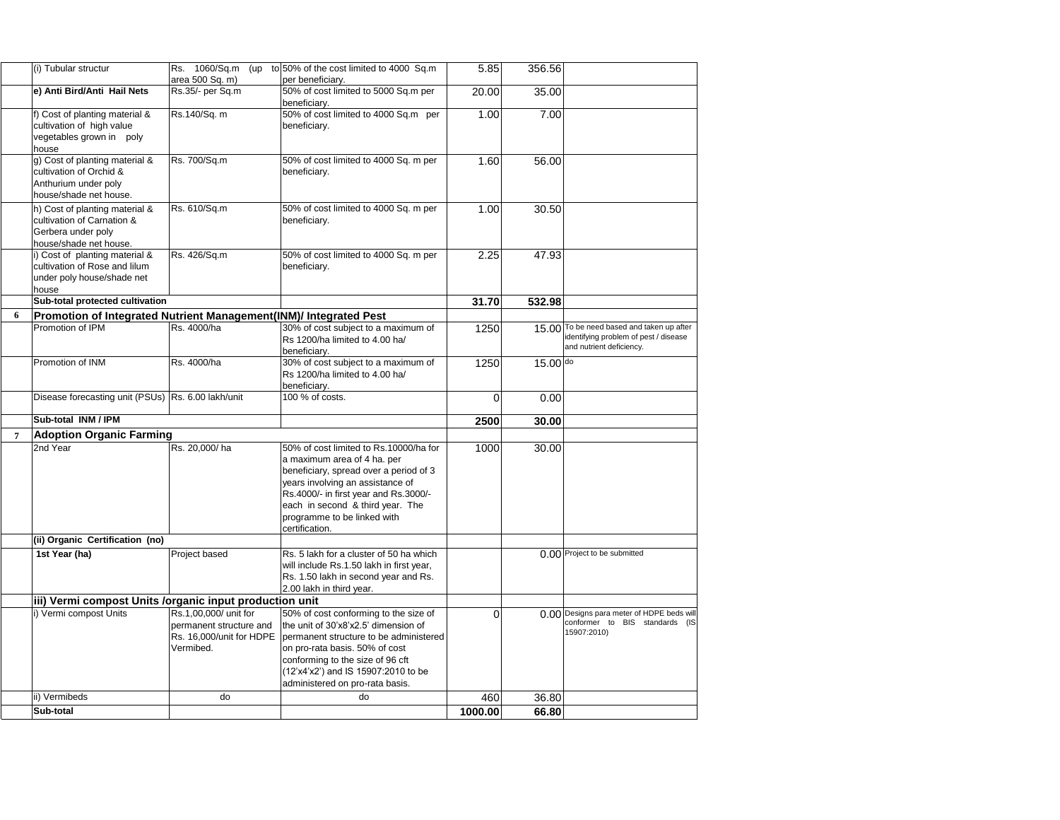|   | (i) Tubular structur                                                                                         | 1060/Sq.m<br>Rs.<br>(up<br>area 500 Sq. m)                                                | to 50% of the cost limited to 4000 Sq.m<br>per beneficiary.                                                                                                                                                                                                                       | 5.85     | 356.56     |                                                                                                                |
|---|--------------------------------------------------------------------------------------------------------------|-------------------------------------------------------------------------------------------|-----------------------------------------------------------------------------------------------------------------------------------------------------------------------------------------------------------------------------------------------------------------------------------|----------|------------|----------------------------------------------------------------------------------------------------------------|
|   | e) Anti Bird/Anti Hail Nets                                                                                  | Rs.35/- per Sq.m                                                                          | 50% of cost limited to 5000 Sq.m per<br>beneficiary.                                                                                                                                                                                                                              | 20.00    | 35.00      |                                                                                                                |
|   | f) Cost of planting material &<br>cultivation of high value<br>vegetables grown in poly<br>house             | Rs.140/Sq. m                                                                              | 50% of cost limited to 4000 Sq.m per<br>beneficiary.                                                                                                                                                                                                                              | 1.00     | 7.00       |                                                                                                                |
|   | g) Cost of planting material &<br>cultivation of Orchid &<br>Anthurium under poly<br>house/shade net house.  | Rs. 700/Sq.m                                                                              | 50% of cost limited to 4000 Sq. m per<br>beneficiary.                                                                                                                                                                                                                             | 1.60     | 56.00      |                                                                                                                |
|   | h) Cost of planting material &<br>cultivation of Carnation &<br>Gerbera under poly<br>house/shade net house. | Rs. 610/Sq.m                                                                              | 50% of cost limited to 4000 Sq. m per<br>beneficiary.                                                                                                                                                                                                                             | 1.00     | 30.50      |                                                                                                                |
|   | i) Cost of planting material &<br>cultivation of Rose and lilum<br>under poly house/shade net<br>house       | Rs. 426/Sq.m                                                                              | 50% of cost limited to 4000 Sq. m per<br>beneficiary.                                                                                                                                                                                                                             | 2.25     | 47.93      |                                                                                                                |
|   | Sub-total protected cultivation                                                                              |                                                                                           |                                                                                                                                                                                                                                                                                   | 31.70    | 532.98     |                                                                                                                |
| 6 | Promotion of Integrated Nutrient Management(INM)/ Integrated Pest                                            |                                                                                           |                                                                                                                                                                                                                                                                                   |          |            |                                                                                                                |
|   | Promotion of IPM                                                                                             | Rs. 4000/ha                                                                               | 30% of cost subject to a maximum of<br>Rs 1200/ha limited to 4.00 ha/<br>beneficiary.                                                                                                                                                                                             | 1250     |            | 15.00 To be need based and taken up after<br>identifying problem of pest / disease<br>and nutrient deficiency. |
|   | Promotion of INM                                                                                             | Rs. 4000/ha                                                                               | 30% of cost subject to a maximum of<br>Rs 1200/ha limited to 4.00 ha/<br>beneficiary.                                                                                                                                                                                             | 1250     | $15.00$ do |                                                                                                                |
|   | Disease forecasting unit (PSUs) Rs. 6.00 lakh/unit                                                           |                                                                                           | 100 % of costs.                                                                                                                                                                                                                                                                   |          | 0.00       |                                                                                                                |
|   | Sub-total INM / IPM                                                                                          |                                                                                           |                                                                                                                                                                                                                                                                                   | 2500     | 30.00      |                                                                                                                |
|   | <b>Adoption Organic Farming</b>                                                                              |                                                                                           |                                                                                                                                                                                                                                                                                   |          |            |                                                                                                                |
|   | 2nd Year                                                                                                     | Rs. 20,000/ha                                                                             | 50% of cost limited to Rs.10000/ha for<br>a maximum area of 4 ha. per<br>beneficiary, spread over a period of 3<br>years involving an assistance of<br>Rs.4000/- in first year and Rs.3000/-<br>each in second & third year. The<br>programme to be linked with<br>certification. | 1000     | 30.00      |                                                                                                                |
|   | (ii) Organic Certification (no)                                                                              |                                                                                           |                                                                                                                                                                                                                                                                                   |          |            |                                                                                                                |
|   | 1st Year (ha)                                                                                                | Project based                                                                             | Rs. 5 lakh for a cluster of 50 ha which<br>will include Rs.1.50 lakh in first year,<br>Rs. 1.50 lakh in second year and Rs.<br>2.00 lakh in third year.                                                                                                                           |          |            | 0.00 Project to be submitted                                                                                   |
|   | iii) Vermi compost Units / organic input production unit                                                     |                                                                                           |                                                                                                                                                                                                                                                                                   |          |            |                                                                                                                |
|   | i) Vermi compost Units                                                                                       | Rs.1,00,000/ unit for<br>permanent structure and<br>Rs. 16,000/unit for HDPE<br>Vermibed. | 50% of cost conforming to the size of<br>the unit of 30'x8'x2.5' dimension of<br>permanent structure to be administered<br>on pro-rata basis. 50% of cost<br>conforming to the size of 96 cft<br>(12'x4'x2') and IS 15907:2010 to be<br>administered on pro-rata basis.           | $\Omega$ |            | 0.00 Designs para meter of HDPE beds will<br>conformer to BIS standards (IS<br>15907:2010)                     |
|   | ii) Vermibeds                                                                                                | do                                                                                        | do                                                                                                                                                                                                                                                                                | 460      | 36.80      |                                                                                                                |

**Sub-total 1000.00 66.80**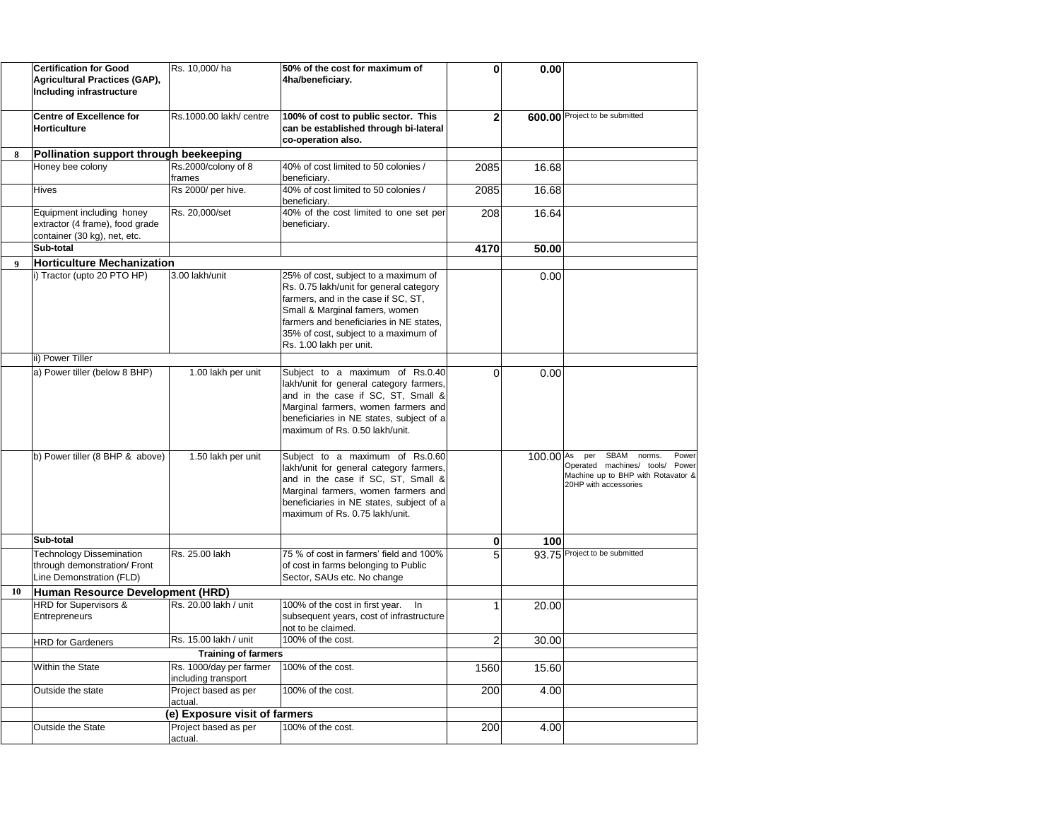|                  | <b>Certification for Good</b><br><b>Agricultural Practices (GAP),</b><br>Including infrastructure | Rs. 10,000/ha                                  | 50% of the cost for maximum of<br>4ha/beneficiary.                                                                                                                                                                                                                     |      | 0.00                   |                                                                                                                                     |
|------------------|---------------------------------------------------------------------------------------------------|------------------------------------------------|------------------------------------------------------------------------------------------------------------------------------------------------------------------------------------------------------------------------------------------------------------------------|------|------------------------|-------------------------------------------------------------------------------------------------------------------------------------|
|                  | <b>Centre of Excellence for</b><br><b>Horticulture</b>                                            | Rs.1000.00 lakh/ centre                        | 100% of cost to public sector. This<br>can be established through bi-lateral<br>co-operation also.                                                                                                                                                                     |      |                        | 600.00 Project to be submitted                                                                                                      |
| 8                | Pollination support through beekeeping                                                            |                                                |                                                                                                                                                                                                                                                                        |      |                        |                                                                                                                                     |
|                  | Honey bee colony                                                                                  | Rs.2000/colony of 8<br>lframes                 | 40% of cost limited to 50 colonies /<br>beneficiary.                                                                                                                                                                                                                   | 2085 | 16.68                  |                                                                                                                                     |
|                  | <b>Hives</b>                                                                                      | Rs 2000/ per hive.                             | 40% of cost limited to 50 colonies /<br>beneficiary.                                                                                                                                                                                                                   | 2085 | 16.68                  |                                                                                                                                     |
|                  | Equipment including honey<br>extractor (4 frame), food grade<br>container (30 kg), net, etc.      | Rs. 20,000/set                                 | 40% of the cost limited to one set per<br>beneficiary.                                                                                                                                                                                                                 | 208  | 16.64                  |                                                                                                                                     |
|                  | Sub-total                                                                                         |                                                |                                                                                                                                                                                                                                                                        | 4170 | 50.00                  |                                                                                                                                     |
| $\boldsymbol{9}$ | <b>Horticulture Mechanization</b>                                                                 |                                                |                                                                                                                                                                                                                                                                        |      |                        |                                                                                                                                     |
|                  | i) Tractor (upto 20 PTO HP)                                                                       | 3.00 lakh/unit                                 | 25% of cost, subject to a maximum of<br>Rs. 0.75 lakh/unit for general category<br>farmers, and in the case if SC, ST,<br>Small & Marginal famers, women<br>farmers and beneficiaries in NE states,<br>35% of cost, subject to a maximum of<br>Rs. 1.00 lakh per unit. |      | 0.00                   |                                                                                                                                     |
|                  | ii) Power Tiller                                                                                  |                                                |                                                                                                                                                                                                                                                                        |      |                        |                                                                                                                                     |
|                  | a) Power tiller (below 8 BHP)                                                                     | 1.00 lakh per unit                             | Subject to a maximum of Rs.0.40<br>lakh/unit for general category farmers,<br>and in the case if SC, ST, Small &<br>Marginal farmers, women farmers and<br>beneficiaries in NE states, subject of a<br>maximum of Rs. 0.50 lakh/unit.                                  | 0    | 0.00                   |                                                                                                                                     |
|                  | b) Power tiller (8 BHP & above)                                                                   | 1.50 lakh per unit                             | Subject to a maximum of Rs.0.60<br>lakh/unit for general category farmers,<br>and in the case if SC, ST, Small &<br>Marginal farmers, women farmers and<br>beneficiaries in NE states, subject of a<br>maximum of Rs. 0.75 lakh/unit.                                  |      | $100.00$ <sup>As</sup> | SBAM<br>Power<br>per<br>norms.<br>Operated machines/ tools/<br>Power<br>Machine up to BHP with Rotavator &<br>20HP with accessories |
|                  | Sub-total                                                                                         |                                                |                                                                                                                                                                                                                                                                        | 0    | 100                    |                                                                                                                                     |
|                  | <b>Technology Dissemination</b><br>through demonstration/ Front<br>Line Demonstration (FLD)       | Rs. 25.00 lakh                                 | 75 % of cost in farmers' field and 100%<br>of cost in farms belonging to Public<br>Sector, SAUs etc. No change                                                                                                                                                         |      |                        | 93.75 Project to be submitted                                                                                                       |
| <b>10</b>        | Human Resource Development (HRD)                                                                  |                                                |                                                                                                                                                                                                                                                                        |      |                        |                                                                                                                                     |
|                  | <b>HRD</b> for Supervisors &<br><b>Entrepreneurs</b>                                              | Rs. 20.00 lakh / unit                          | 100% of the cost in first year.<br>ln<br>subsequent years, cost of infrastructure<br>not to be claimed.                                                                                                                                                                |      | 20.00                  |                                                                                                                                     |
|                  | <b>HRD</b> for Gardeners                                                                          | Rs. 15.00 lakh / unit                          | 100% of the cost.                                                                                                                                                                                                                                                      |      | 30.00                  |                                                                                                                                     |
|                  |                                                                                                   | <b>Training of farmers</b>                     |                                                                                                                                                                                                                                                                        |      |                        |                                                                                                                                     |
|                  | <b>Within the State</b>                                                                           | Rs. 1000/day per farmer<br>including transport | 100% of the cost.                                                                                                                                                                                                                                                      | 1560 | 15.60                  |                                                                                                                                     |
|                  | Outside the state                                                                                 | Project based as per<br>actual.                | 100% of the cost.                                                                                                                                                                                                                                                      | 200  | 4.00                   |                                                                                                                                     |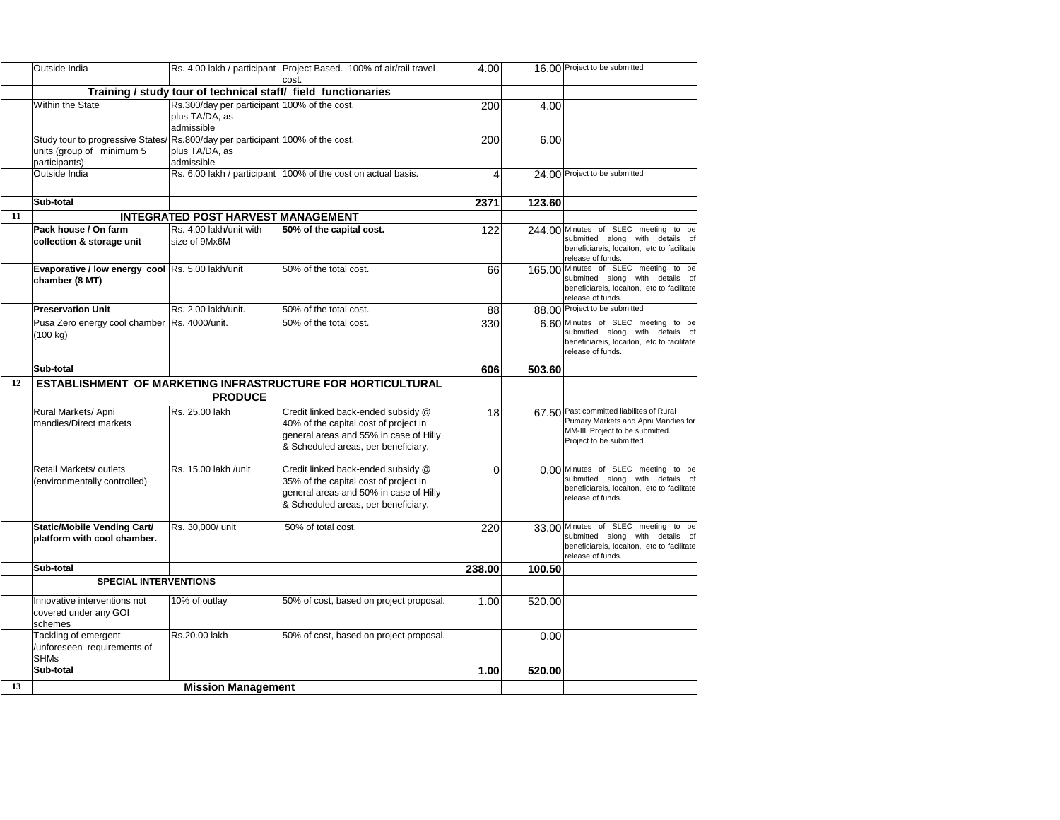|           | Outside India                                                                                                                |                                                                              | Rs. 4.00 lakh / participant   Project Based. 100% of air/rail travel                                                                                         | 4.00   |        | 16.00 Project to be submitted                                                                                                                   |
|-----------|------------------------------------------------------------------------------------------------------------------------------|------------------------------------------------------------------------------|--------------------------------------------------------------------------------------------------------------------------------------------------------------|--------|--------|-------------------------------------------------------------------------------------------------------------------------------------------------|
|           |                                                                                                                              |                                                                              | cost.<br>Training / study tour of technical staff/ field functionaries                                                                                       |        |        |                                                                                                                                                 |
|           | <b>Within the State</b>                                                                                                      | Rs.300/day per participant 100% of the cost.<br>plus TA/DA, as<br>admissible |                                                                                                                                                              | 200    | 4.00   |                                                                                                                                                 |
|           | Study tour to progressive States/ Rs.800/day per participant 100% of the cost.<br>units (group of minimum 5<br>participants) | plus TA/DA, as<br>admissible                                                 |                                                                                                                                                              | 200    | 6.00   |                                                                                                                                                 |
|           | Outside India                                                                                                                |                                                                              | Rs. 6.00 lakh / participant 100% of the cost on actual basis.                                                                                                |        |        | 24.00 Project to be submitted                                                                                                                   |
|           | Sub-total                                                                                                                    |                                                                              |                                                                                                                                                              | 2371   | 123.60 |                                                                                                                                                 |
| <b>11</b> |                                                                                                                              | <b>INTEGRATED POST HARVEST MANAGEMENT</b>                                    |                                                                                                                                                              |        |        |                                                                                                                                                 |
|           | Pack house / On farm<br>collection & storage unit                                                                            | Rs. 4.00 lakh/unit with<br>size of 9Mx6M                                     | <b>50% of the capital cost.</b>                                                                                                                              | 122    |        | 244,00 Minutes of SLEC meeting to be<br>submitted along with details of<br>beneficiareis, locaiton, etc to facilitate<br>release of funds.      |
|           | Evaporative / low energy cool Rs. 5.00 lakh/unit<br>chamber (8 MT)                                                           |                                                                              | 50% of the total cost.                                                                                                                                       | 66     |        | 165.00 Minutes of SLEC meeting to be<br>submitted along with details of<br>beneficiareis, locaiton, etc to facilitate<br>release of funds.      |
|           | <b>Preservation Unit</b>                                                                                                     | Rs. 2.00 lakh/unit.                                                          | 50% of the total cost.                                                                                                                                       | 88     |        | 88.00 Project to be submitted                                                                                                                   |
|           | Pusa Zero energy cool chamber   Rs. 4000/unit.<br>(100 kg)                                                                   |                                                                              | 50% of the total cost.                                                                                                                                       | 330    |        | 6.60 Minutes of SLEC meeting to be<br>submitted along with details of<br>beneficiareis, locaiton, etc to facilitate<br>release of funds.        |
|           | Sub-total                                                                                                                    |                                                                              |                                                                                                                                                              | 606    | 503.60 |                                                                                                                                                 |
| 12        |                                                                                                                              | <b>PRODUCE</b>                                                               | ESTABLISHMENT OF MARKETING INFRASTRUCTURE FOR HORTICULTURAL                                                                                                  |        |        |                                                                                                                                                 |
|           | Rural Markets/ Apni<br>mandies/Direct markets                                                                                | Rs. 25.00 lakh                                                               | Credit linked back-ended subsidy @<br>40% of the capital cost of project in<br>general areas and 55% in case of Hilly<br>& Scheduled areas, per beneficiary. | 18     |        | 67.50 Past committed liabilites of Rural<br>Primary Markets and Apni Mandies for<br>MM-III. Project to be submitted.<br>Project to be submitted |
|           | <b>Retail Markets/ outlets</b><br>(environmentally controlled)                                                               | Rs. 15.00 lakh /unit                                                         | Credit linked back-ended subsidy @<br>35% of the capital cost of project in<br>general areas and 50% in case of Hilly<br>& Scheduled areas, per beneficiary. |        |        | 0.00 Minutes of SLEC meeting to be<br>submitted along with details of<br>beneficiareis, locaiton, etc to facilitate<br>release of funds.        |
|           | <b>Static/Mobile Vending Cart/</b><br>platform with cool chamber.                                                            | Rs. 30,000/ unit                                                             | 50% of total cost.                                                                                                                                           | 220    |        | 33.00 Minutes of SLEC meeting to be<br>submitted along with details of<br>beneficiareis, locaiton, etc to facilitate<br>release of funds.       |
|           | Sub-total                                                                                                                    |                                                                              |                                                                                                                                                              | 238.00 | 100.50 |                                                                                                                                                 |
|           | <b>SPECIAL INTERVENTIONS</b>                                                                                                 |                                                                              |                                                                                                                                                              |        |        |                                                                                                                                                 |
|           | Innovative interventions not<br>covered under any GOI<br>schemes                                                             | 10% of outlay                                                                | 50% of cost, based on project proposal.                                                                                                                      | 1.00   | 520.00 |                                                                                                                                                 |
|           | Tackling of emergent<br>/unforeseen requirements of<br><b>SHMs</b>                                                           | Rs.20.00 lakh                                                                | 50% of cost, based on project proposal.                                                                                                                      |        | 0.00   |                                                                                                                                                 |
|           | Sub-total                                                                                                                    |                                                                              |                                                                                                                                                              | 1.00   | 520.00 |                                                                                                                                                 |
| 13        |                                                                                                                              | <b>Mission Management</b>                                                    |                                                                                                                                                              |        |        |                                                                                                                                                 |